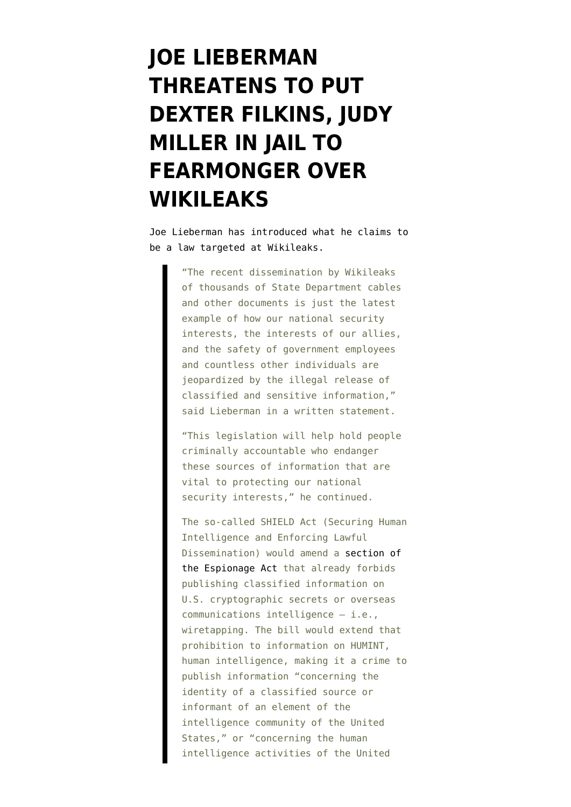## **[JOE LIEBERMAN](https://www.emptywheel.net/2010/12/03/joe-lieberman-threatens-to-put-dexter-filkins-judy-miller-in-jail-to-fearmonger-over-wikileaks/) [THREATENS TO PUT](https://www.emptywheel.net/2010/12/03/joe-lieberman-threatens-to-put-dexter-filkins-judy-miller-in-jail-to-fearmonger-over-wikileaks/) [DEXTER FILKINS, JUDY](https://www.emptywheel.net/2010/12/03/joe-lieberman-threatens-to-put-dexter-filkins-judy-miller-in-jail-to-fearmonger-over-wikileaks/) [MILLER IN JAIL TO](https://www.emptywheel.net/2010/12/03/joe-lieberman-threatens-to-put-dexter-filkins-judy-miller-in-jail-to-fearmonger-over-wikileaks/) [FEARMONGER OVER](https://www.emptywheel.net/2010/12/03/joe-lieberman-threatens-to-put-dexter-filkins-judy-miller-in-jail-to-fearmonger-over-wikileaks/) [WIKILEAKS](https://www.emptywheel.net/2010/12/03/joe-lieberman-threatens-to-put-dexter-filkins-judy-miller-in-jail-to-fearmonger-over-wikileaks/)**

Joe Lieberman has [introduced](http://www.wired.com/threatlevel/2010/12/shield/) what he claims to be a law targeted at Wikileaks.

> "The recent dissemination by Wikileaks of thousands of State Department cables and other documents is just the latest example of how our national security interests, the interests of our allies, and the safety of government employees and countless other individuals are jeopardized by the illegal release of classified and sensitive information," said Lieberman in a written statement.

> "This legislation will help hold people criminally accountable who endanger these sources of information that are vital to protecting our national security interests," he continued.

The so-called SHIELD Act (Securing Human Intelligence and Enforcing Lawful Dissemination) would amend a [section of](http://www.law.cornell.edu/uscode/18/usc_sec_18_00000798----000-.html) [the Espionage Act](http://www.law.cornell.edu/uscode/18/usc_sec_18_00000798----000-.html) that already forbids publishing classified information on U.S. cryptographic secrets or overseas communications intelligence — i.e., wiretapping. The bill would extend that prohibition to information on HUMINT, human intelligence, making it a crime to publish information "concerning the identity of a classified source or informant of an element of the intelligence community of the United States," or "concerning the human intelligence activities of the United